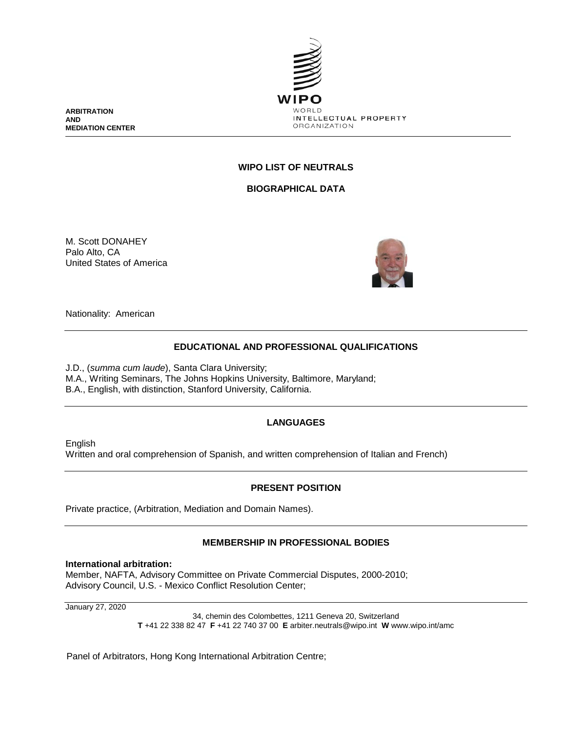

**ARBITRATION AND MEDIATION CENTER**

# **WIPO LIST OF NEUTRALS**

**BIOGRAPHICAL DATA**

M. Scott DONAHEY Palo Alto, CA United States of America



Nationality: American

### **EDUCATIONAL AND PROFESSIONAL QUALIFICATIONS**

J.D., (*summa cum laude*), Santa Clara University; M.A., Writing Seminars, The Johns Hopkins University, Baltimore, Maryland; B.A., English, with distinction, Stanford University, California.

# **LANGUAGES**

English Written and oral comprehension of Spanish, and written comprehension of Italian and French)

#### **PRESENT POSITION**

Private practice, (Arbitration, Mediation and Domain Names).

#### **MEMBERSHIP IN PROFESSIONAL BODIES**

#### **International arbitration:**

Member, NAFTA, Advisory Committee on Private Commercial Disputes, 2000-2010; Advisory Council, U.S. - Mexico Conflict Resolution Center;

January 27, 2020

34, chemin des Colombettes, 1211 Geneva 20, Switzerland **T** +41 22 338 82 47 **F** +41 22 740 37 00 **E** arbiter.neutrals@wipo.int **W** www.wipo.int/amc

Panel of Arbitrators, Hong Kong International Arbitration Centre;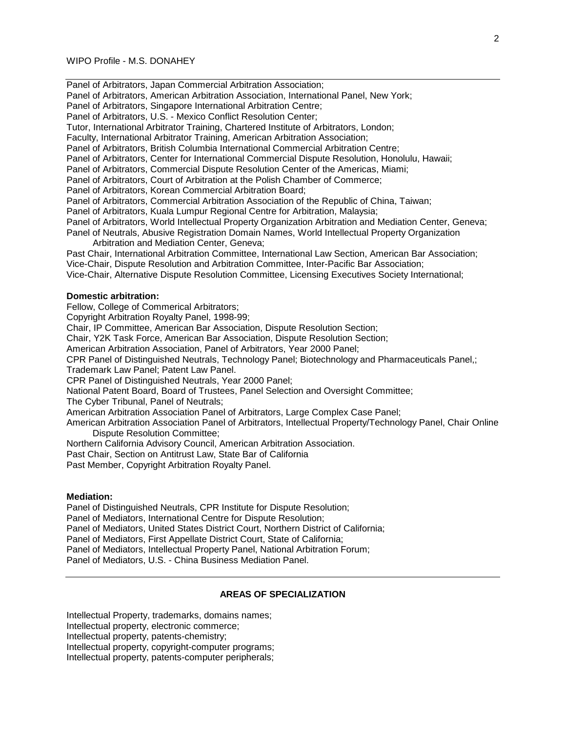Panel of Arbitrators, Japan Commercial Arbitration Association; Panel of Arbitrators, American Arbitration Association, International Panel, New York; Panel of Arbitrators, Singapore International Arbitration Centre; Panel of Arbitrators, U.S. - Mexico Conflict Resolution Center; Tutor, International Arbitrator Training, Chartered Institute of Arbitrators, London; Faculty, International Arbitrator Training, American Arbitration Association; Panel of Arbitrators, British Columbia International Commercial Arbitration Centre; Panel of Arbitrators, Center for International Commercial Dispute Resolution, Honolulu, Hawaii; Panel of Arbitrators, Commercial Dispute Resolution Center of the Americas, Miami; Panel of Arbitrators, Court of Arbitration at the Polish Chamber of Commerce; Panel of Arbitrators, Korean Commercial Arbitration Board; Panel of Arbitrators, Commercial Arbitration Association of the Republic of China, Taiwan; Panel of Arbitrators, Kuala Lumpur Regional Centre for Arbitration, Malaysia; Panel of Arbitrators, World Intellectual Property Organization Arbitration and Mediation Center, Geneva; Panel of Neutrals, Abusive Registration Domain Names, World Intellectual Property Organization Arbitration and Mediation Center, Geneva; Past Chair, International Arbitration Committee, International Law Section, American Bar Association; Vice-Chair, Dispute Resolution and Arbitration Committee, Inter-Pacific Bar Association; Vice-Chair, Alternative Dispute Resolution Committee, Licensing Executives Society International; **Domestic arbitration:** Fellow, College of Commerical Arbitrators; Copyright Arbitration Royalty Panel, 1998-99; Chair, IP Committee, American Bar Association, Dispute Resolution Section; Chair, Y2K Task Force, American Bar Association, Dispute Resolution Section; American Arbitration Association, Panel of Arbitrators, Year 2000 Panel; CPR Panel of Distinguished Neutrals, Technology Panel; Biotechnology and Pharmaceuticals Panel,; Trademark Law Panel; Patent Law Panel. CPR Panel of Distinguished Neutrals, Year 2000 Panel; National Patent Board, Board of Trustees, Panel Selection and Oversight Committee; The Cyber Tribunal, Panel of Neutrals;

American Arbitration Association Panel of Arbitrators, Large Complex Case Panel;

American Arbitration Association Panel of Arbitrators, Intellectual Property/Technology Panel, Chair Online Dispute Resolution Committee;

Northern California Advisory Council, American Arbitration Association.

Past Chair, Section on Antitrust Law, State Bar of California

Past Member, Copyright Arbitration Royalty Panel.

#### **Mediation:**

Panel of Distinguished Neutrals, CPR Institute for Dispute Resolution; Panel of Mediators, International Centre for Dispute Resolution; Panel of Mediators, United States District Court, Northern District of California; Panel of Mediators, First Appellate District Court, State of California; Panel of Mediators, Intellectual Property Panel, National Arbitration Forum; Panel of Mediators, U.S. - China Business Mediation Panel.

## **AREAS OF SPECIALIZATION**

Intellectual Property, trademarks, domains names; Intellectual property, electronic commerce; Intellectual property, patents-chemistry; Intellectual property, copyright-computer programs; Intellectual property, patents-computer peripherals;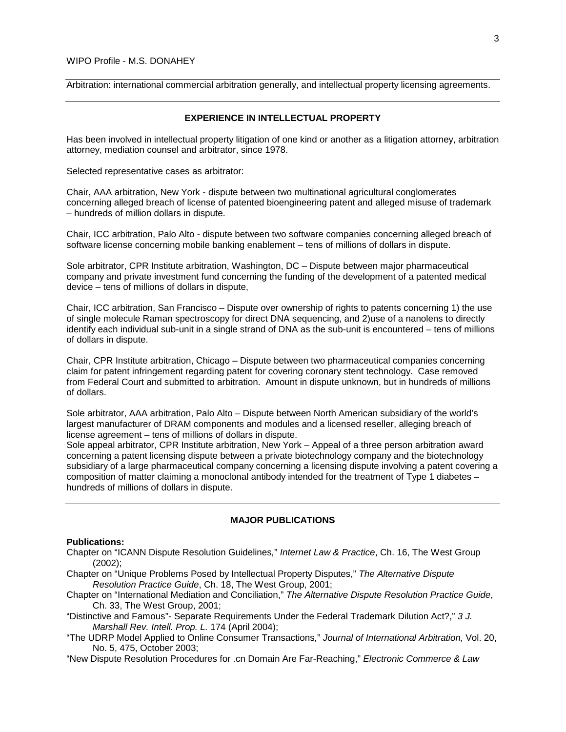Arbitration: international commercial arbitration generally, and intellectual property licensing agreements.

#### **EXPERIENCE IN INTELLECTUAL PROPERTY**

Has been involved in intellectual property litigation of one kind or another as a litigation attorney, arbitration attorney, mediation counsel and arbitrator, since 1978.

Selected representative cases as arbitrator:

Chair, AAA arbitration, New York - dispute between two multinational agricultural conglomerates concerning alleged breach of license of patented bioengineering patent and alleged misuse of trademark – hundreds of million dollars in dispute.

Chair, ICC arbitration, Palo Alto - dispute between two software companies concerning alleged breach of software license concerning mobile banking enablement – tens of millions of dollars in dispute.

Sole arbitrator, CPR Institute arbitration, Washington, DC – Dispute between major pharmaceutical company and private investment fund concerning the funding of the development of a patented medical device – tens of millions of dollars in dispute,

Chair, ICC arbitration, San Francisco – Dispute over ownership of rights to patents concerning 1) the use of single molecule Raman spectroscopy for direct DNA sequencing, and 2)use of a nanolens to directly identify each individual sub-unit in a single strand of DNA as the sub-unit is encountered – tens of millions of dollars in dispute.

Chair, CPR Institute arbitration, Chicago – Dispute between two pharmaceutical companies concerning claim for patent infringement regarding patent for covering coronary stent technology. Case removed from Federal Court and submitted to arbitration. Amount in dispute unknown, but in hundreds of millions of dollars.

Sole arbitrator, AAA arbitration, Palo Alto – Dispute between North American subsidiary of the world's largest manufacturer of DRAM components and modules and a licensed reseller, alleging breach of license agreement – tens of millions of dollars in dispute.

Sole appeal arbitrator, CPR Institute arbitration, New York – Appeal of a three person arbitration award concerning a patent licensing dispute between a private biotechnology company and the biotechnology subsidiary of a large pharmaceutical company concerning a licensing dispute involving a patent covering a composition of matter claiming a monoclonal antibody intended for the treatment of Type 1 diabetes – hundreds of millions of dollars in dispute.

#### **MAJOR PUBLICATIONS**

#### **Publications:**

Chapter on "ICANN Dispute Resolution Guidelines*,*" *Internet Law & Practice*, Ch. 16, The West Group (2002);

- Chapter on "Unique Problems Posed by Intellectual Property Disputes," *The Alternative Dispute Resolution Practice Guide*, Ch. 18, The West Group, 2001;
- Chapter on "International Mediation and Conciliation," *The Alternative Dispute Resolution Practice Guide*, Ch. 33, The West Group, 2001;
- "Distinctive and Famous"- Separate Requirements Under the Federal Trademark Dilution Act?," *3 J. Marshall Rev. Intell. Prop. L.* 174 (April 2004);
- "The UDRP Model Applied to Online Consumer Transactions*,*" *Journal of International Arbitration,* Vol. 20, No. 5, 475, October 2003;

"New Dispute Resolution Procedures for .cn Domain Are Far-Reaching," *Electronic Commerce & Law*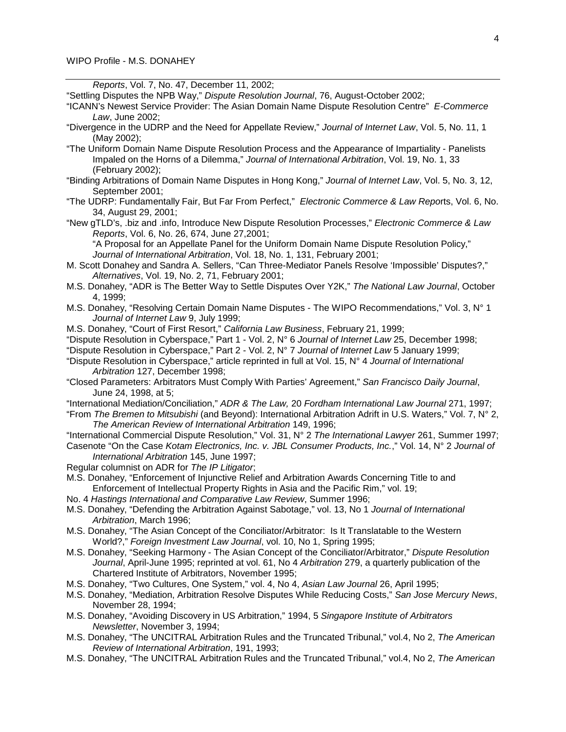*Reports*, Vol. 7, No. 47, December 11, 2002;

"Settling Disputes the NPB Way," *Dispute Resolution Journal*, 76, August-October 2002;

- "ICANN's Newest Service Provider: The Asian Domain Name Dispute Resolution Centre" *E-Commerce Law*, June 2002;
- "Divergence in the UDRP and the Need for Appellate Review," *Journal of Internet Law*, Vol. 5, No. 11, 1 (May 2002);
- "The Uniform Domain Name Dispute Resolution Process and the Appearance of Impartiality Panelists Impaled on the Horns of a Dilemma," *Journal of International Arbitration*, Vol. 19, No. 1, 33 (February 2002);
- "Binding Arbitrations of Domain Name Disputes in Hong Kong," *Journal of Internet Law*, Vol. 5, No. 3, 12, September 2001;
- "The UDRP: Fundamentally Fair, But Far From Perfect," *Electronic Commerce & Law Repo*rts, Vol. 6, No. 34, August 29, 2001;
- "New gTLD's, .biz and .info, Introduce New Dispute Resolution Processes," *Electronic Commerce & Law Reports*, Vol. 6, No. 26, 674, June 27,2001;

"A Proposal for an Appellate Panel for the Uniform Domain Name Dispute Resolution Policy," *Journal of International Arbitration*, Vol. 18, No. 1, 131, February 2001;

- M. Scott Donahey and Sandra A. Sellers, "Can Three-Mediator Panels Resolve 'Impossible' Disputes?," *Alternatives*, Vol. 19, No. 2, 71, February 2001;
- M.S. Donahey, "ADR is The Better Way to Settle Disputes Over Y2K," *The National Law Journal*, October 4, 1999;
- M.S. Donahey, "Resolving Certain Domain Name Disputes The WIPO Recommendations," Vol. 3, N° 1 *Journal of Internet Law* 9, July 1999;
- M.S. Donahey, "Court of First Resort," *California Law Business*, February 21, 1999;
- "Dispute Resolution in Cyberspace," Part 1 Vol. 2, N° 6 *Journal of Internet Law* 25, December 1998;
- "Dispute Resolution in Cyberspace," Part 2 Vol. 2, N° 7 *Journal of Internet Law* 5 January 1999;
- "Dispute Resolution in Cyberspace," article reprinted in full at Vol. 15, N° 4 *Journal of International Arbitration* 127, December 1998;
- "Closed Parameters: Arbitrators Must Comply With Parties' Agreement," *San Francisco Daily Journal*, June 24, 1998, at 5;
- "International Mediation/Conciliation," *ADR & The Law,* 20 *Fordham International Law Journal* 271, 1997;
- "From *The Bremen to Mitsubishi* (and Beyond): International Arbitration Adrift in U.S. Waters," Vol. 7, N° 2, *The American Review of International Arbitration* 149, 1996;
- "International Commercial Dispute Resolution," Vol. 31, N° 2 *The International Lawyer* 261, Summer 1997; Casenote "On the Case *Kotam Electronics, Inc. v. JBL Consumer Products, Inc.*," Vol. 14, N° 2 *Journal of*
- *International Arbitration* 145, June 1997;
- Regular columnist on ADR for *The IP Litigator*;
- M.S. Donahey, "Enforcement of Injunctive Relief and Arbitration Awards Concerning Title to and Enforcement of Intellectual Property Rights in Asia and the Pacific Rim," vol. 19;
- No. 4 *Hastings International and Comparative Law Review*, Summer 1996;
- M.S. Donahey, "Defending the Arbitration Against Sabotage," vol. 13, No 1 *Journal of International Arbitration*, March 1996;
- M.S. Donahey, "The Asian Concept of the Conciliator/Arbitrator: Is It Translatable to the Western World?," *Foreign Investment Law Journal*, vol. 10, No 1, Spring 1995;
- M.S. Donahey, "Seeking Harmony The Asian Concept of the Conciliator/Arbitrator," *Dispute Resolution Journal*, April-June 1995; reprinted at vol. 61, No 4 *Arbitration* 279, a quarterly publication of the Chartered Institute of Arbitrators, November 1995;
- M.S. Donahey, "Two Cultures, One System," vol. 4, No 4, *Asian Law Journal* 26, April 1995;
- M.S. Donahey, "Mediation, Arbitration Resolve Disputes While Reducing Costs," *San Jose Mercury News*, November 28, 1994;
- M.S. Donahey, "Avoiding Discovery in US Arbitration," 1994, 5 *Singapore Institute of Arbitrators Newsletter*, November 3, 1994;
- M.S. Donahey, "The UNCITRAL Arbitration Rules and the Truncated Tribunal," vol.4, No 2, *The American Review of International Arbitration*, 191, 1993;
- M.S. Donahey, "The UNCITRAL Arbitration Rules and the Truncated Tribunal," vol.4, No 2, *The American*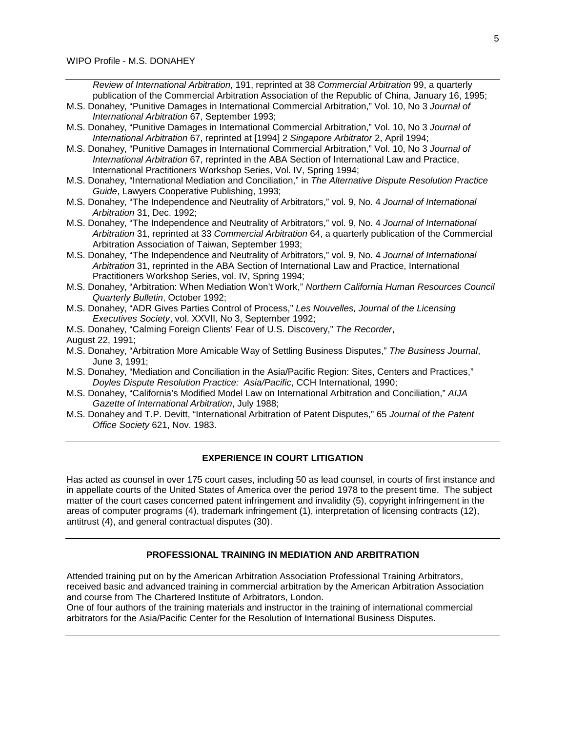*Review of International Arbitration*, 191, reprinted at 38 *Commercial Arbitration* 99, a quarterly publication of the Commercial Arbitration Association of the Republic of China, January 16, 1995;

- M.S. Donahey, "Punitive Damages in International Commercial Arbitration," Vol. 10, No 3 *Journal of International Arbitration* 67, September 1993;
- M.S. Donahey, "Punitive Damages in International Commercial Arbitration," Vol. 10, No 3 *Journal of International Arbitration* 67, reprinted at [1994] 2 *Singapore Arbitrator* 2, April 1994;
- M.S. Donahey, "Punitive Damages in International Commercial Arbitration," Vol. 10, No 3 *Journal of International Arbitration* 67, reprinted in the ABA Section of International Law and Practice, International Practitioners Workshop Series, Vol. IV, Spring 1994;
- M.S. Donahey, "International Mediation and Conciliation," in *The Alternative Dispute Resolution Practice Guide*, Lawyers Cooperative Publishing, 1993;
- M.S. Donahey, "The Independence and Neutrality of Arbitrators," vol. 9, No. 4 *Journal of International Arbitration* 31, Dec. 1992;
- M.S. Donahey, "The Independence and Neutrality of Arbitrators," vol. 9, No. 4 *Journal of International Arbitration* 31, reprinted at 33 *Commercial Arbitration* 64, a quarterly publication of the Commercial Arbitration Association of Taiwan, September 1993;
- M.S. Donahey, "The Independence and Neutrality of Arbitrators," vol. 9, No. 4 *Journal of International Arbitration* 31, reprinted in the ABA Section of International Law and Practice, International Practitioners Workshop Series, vol. IV, Spring 1994;
- M.S. Donahey, "Arbitration: When Mediation Won't Work," *Northern California Human Resources Council Quarterly Bulletin*, October 1992;
- M.S. Donahey, "ADR Gives Parties Control of Process," *Les Nouvelles, Journal of the Licensing Executives Society*, vol. XXVII, No 3, September 1992;
- M.S. Donahey, "Calming Foreign Clients' Fear of U.S. Discovery," *The Recorder*, August 22, 1991;
- M.S. Donahey, "Arbitration More Amicable Way of Settling Business Disputes," *The Business Journal*, June 3, 1991;
- M.S. Donahey, "Mediation and Conciliation in the Asia/Pacific Region: Sites, Centers and Practices," *Doyles Dispute Resolution Practice: Asia/Pacific*, CCH International, 1990;
- M.S. Donahey, "California's Modified Model Law on International Arbitration and Conciliation," *AIJA Gazette of International Arbitration*, July 1988;
- M.S. Donahey and T.P. Devitt, "International Arbitration of Patent Disputes," 65 *Journal of the Patent Office Society* 621, Nov. 1983.

## **EXPERIENCE IN COURT LITIGATION**

Has acted as counsel in over 175 court cases, including 50 as lead counsel, in courts of first instance and in appellate courts of the United States of America over the period 1978 to the present time. The subject matter of the court cases concerned patent infringement and invalidity (5), copyright infringement in the areas of computer programs (4), trademark infringement (1), interpretation of licensing contracts (12), antitrust (4), and general contractual disputes (30).

# **PROFESSIONAL TRAINING IN MEDIATION AND ARBITRATION**

Attended training put on by the American Arbitration Association Professional Training Arbitrators, received basic and advanced training in commercial arbitration by the American Arbitration Association and course from The Chartered Institute of Arbitrators, London.

One of four authors of the training materials and instructor in the training of international commercial arbitrators for the Asia/Pacific Center for the Resolution of International Business Disputes.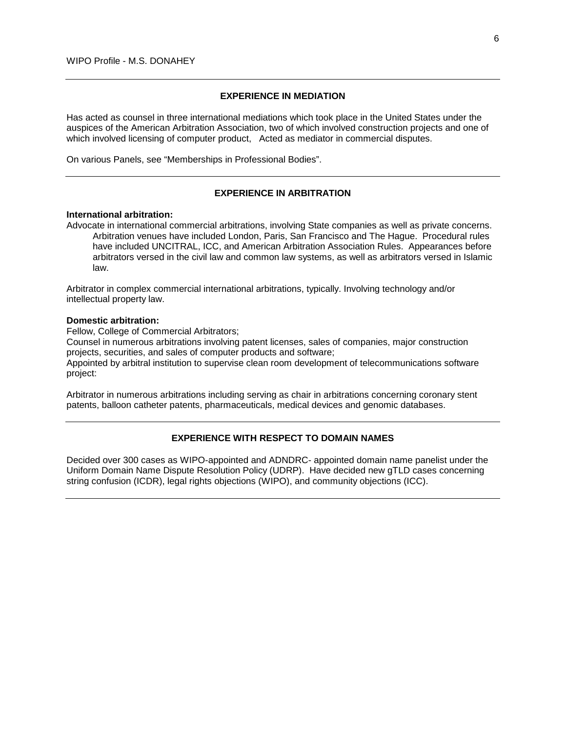## **EXPERIENCE IN MEDIATION**

Has acted as counsel in three international mediations which took place in the United States under the auspices of the American Arbitration Association, two of which involved construction projects and one of which involved licensing of computer product, Acted as mediator in commercial disputes.

On various Panels, see "Memberships in Professional Bodies".

# **EXPERIENCE IN ARBITRATION**

#### **International arbitration:**

Advocate in international commercial arbitrations, involving State companies as well as private concerns. Arbitration venues have included London, Paris, San Francisco and The Hague. Procedural rules have included UNCITRAL, ICC, and American Arbitration Association Rules. Appearances before arbitrators versed in the civil law and common law systems, as well as arbitrators versed in Islamic law.

Arbitrator in complex commercial international arbitrations, typically. Involving technology and/or intellectual property law.

#### **Domestic arbitration:**

Fellow, College of Commercial Arbitrators;

Counsel in numerous arbitrations involving patent licenses, sales of companies, major construction projects, securities, and sales of computer products and software;

Appointed by arbitral institution to supervise clean room development of telecommunications software project:

Arbitrator in numerous arbitrations including serving as chair in arbitrations concerning coronary stent patents, balloon catheter patents, pharmaceuticals, medical devices and genomic databases.

### **EXPERIENCE WITH RESPECT TO DOMAIN NAMES**

Decided over 300 cases as WIPO-appointed and ADNDRC- appointed domain name panelist under the Uniform Domain Name Dispute Resolution Policy (UDRP). Have decided new gTLD cases concerning string confusion (ICDR), legal rights objections (WIPO), and community objections (ICC).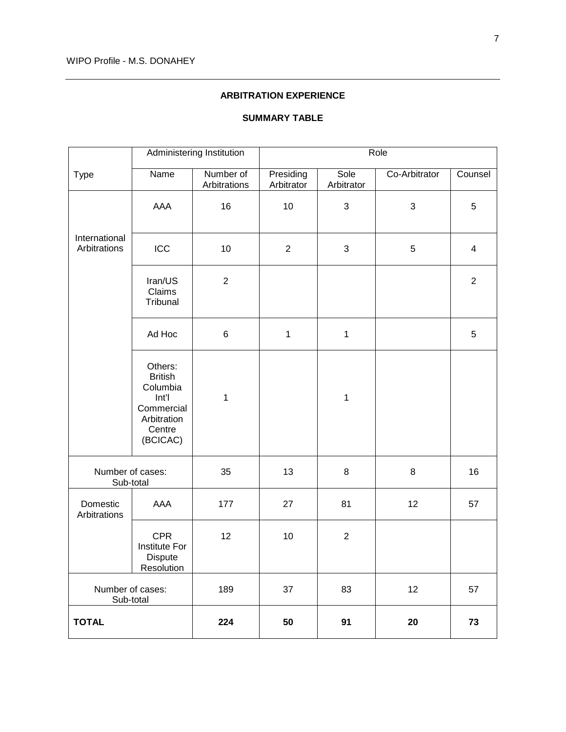### **ARBITRATION EXPERIENCE**

| <b>SUMMARY TABLE</b> |
|----------------------|
|----------------------|

|                               |                                                                                                   | Administering Institution | Role                    |                    |               |                         |
|-------------------------------|---------------------------------------------------------------------------------------------------|---------------------------|-------------------------|--------------------|---------------|-------------------------|
| <b>Type</b>                   | Name                                                                                              | Number of<br>Arbitrations | Presiding<br>Arbitrator | Sole<br>Arbitrator | Co-Arbitrator | Counsel                 |
|                               | AAA                                                                                               | 16                        | 10                      | $\sqrt{3}$         | $\sqrt{3}$    | 5                       |
| International<br>Arbitrations | ICC                                                                                               | 10                        | $\overline{2}$          | $\sqrt{3}$         | 5             | $\overline{\mathbf{4}}$ |
|                               | Iran/US<br>Claims<br>Tribunal                                                                     | $\overline{2}$            |                         |                    |               | $\overline{2}$          |
|                               | Ad Hoc                                                                                            | 6                         | $\mathbf{1}$            | $\mathbf{1}$       |               | 5                       |
|                               | Others:<br><b>British</b><br>Columbia<br>Int'l<br>Commercial<br>Arbitration<br>Centre<br>(BCICAC) | $\mathbf{1}$              |                         | 1                  |               |                         |
| Number of cases:<br>Sub-total |                                                                                                   | 35                        | 13                      | $\bf 8$            | 8             | 16                      |
| Domestic<br>Arbitrations      | AAA                                                                                               | 177                       | 27                      | 81                 | 12            | 57                      |
|                               | <b>CPR</b><br><b>Institute For</b><br>Dispute<br>Resolution                                       | 12                        | 10                      | $\sqrt{2}$         |               |                         |
| Number of cases:<br>Sub-total |                                                                                                   | 189                       | 37                      | 83                 | 12            | 57                      |
| <b>TOTAL</b>                  |                                                                                                   | 224                       | 50                      | 91                 | 20            | 73                      |